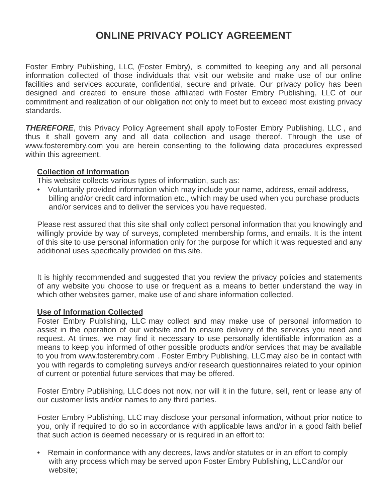# **ONLINE PRIVACY POLICY AGREEMENT**

Foster Embry Publishing, LLC, (Foster Embry), is committed to keeping any and all personal information collected of those individuals that visit our website and make use of our online facilities and services accurate, confidential, secure and private. Our privacy policy has been designed and created to ensure those affiliated with Foster Embry Publishing, LLC of our commitment and realization of our obligation not only to meet but to exceed most existing privacy standards.

**THEREFORE**, this Privacy Policy Agreement shall apply to Foster Embry Publishing, LLC, and thus it shall govern any and all data collection and usage thereof. Through the use of www.fosterembry.com you are herein consenting to the following data procedures expressed within this agreement.

## **Collection of Information**

This website collects various types of information, such as:

• Voluntarily provided information which may include your name, address, email address, billing and/or credit card information etc., which may be used when you purchase products and/or services and to deliver the services you have requested.

Please rest assured that this site shall only collect personal information that you knowingly and willingly provide by way of surveys, completed membership forms, and emails. It is the intent of this site to use personal information only for the purpose for which it was requested and any additional uses specifically provided on this site.

It is highly recommended and suggested that you review the privacy policies and statements of any website you choose to use or frequent as a means to better understand the way in which other websites garner, make use of and share information collected.

#### **Use of Information Collected**

Foster Embry Publishing, LLC may collect and may make use of personal information to assist in the operation of our website and to ensure delivery of the services you need and request. At times, we may find it necessary to use personally identifiable information as a means to keep you informed of other possible products and/or services that may be available to you from www.fosterembry.com . Foster Embry Publishing, LLCmay also be in contact with you with regards to completing surveys and/or research questionnaires related to your opinion of current or potential future services that may be offered.

Foster Embry Publishing, LLC does not now, nor will it in the future, sell, rent or lease any of our customer lists and/or names to any third parties.

Foster Embry Publishing, LLC may disclose your personal information, without prior notice to you, only if required to do so in accordance with applicable laws and/or in a good faith belief that such action is deemed necessary or is required in an effort to:

• Remain in conformance with any decrees, laws and/or statutes or in an effort to comply with any process which may be served upon Foster Embry Publishing, LLCand/or our website;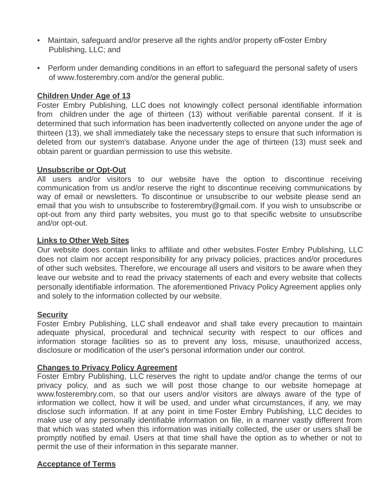- Maintain, safeguard and/or preserve all the rights and/or property of Foster Embry Publishing, LLC; and
- Perform under demanding conditions in an effort to safeguard the personal safety of users of www.fosterembry.com and/or the general public.

## **Children Under Age of 13**

Foster Embry Publishing, LLC does not knowingly collect personal identifiable information from children under the age of thirteen (13) without verifiable parental consent. If it is determined that such information has been inadvertently collected on anyone under the age of thirteen (13), we shall immediately take the necessary steps to ensure that such information is deleted from our system's database. Anyone under the age of thirteen (13) must seek and obtain parent or guardian permission to use this website.

## **Unsubscribe or Opt-Out**

All users and/or visitors to our website have the option to discontinue receiving communication from us and/or reserve the right to discontinue receiving communications by way of email or newsletters. To discontinue or unsubscribe to our website please send an email that you wish to unsubscribe to fosterembry@gmail.com. If you wish to unsubscribe or opt-out from any third party websites, you must go to that specific website to unsubscribe and/or opt-out.

#### **Links to Other Web Sites**

Our website does contain links to affiliate and other websites.Foster Embry Publishing, LLC does not claim nor accept responsibility for any privacy policies, practices and/or procedures of other such websites. Therefore, we encourage all users and visitors to be aware when they leave our website and to read the privacy statements of each and every website that collects personally identifiable information. The aforementioned Privacy Policy Agreement applies only and solely to the information collected by our website.

#### **Security**

Foster Embry Publishing, LLC shall endeavor and shall take every precaution to maintain adequate physical, procedural and technical security with respect to our offices and information storage facilities so as to prevent any loss, misuse, unauthorized access, disclosure or modification of the user's personal information under our control.

#### **Changes to Privacy Policy Agreement**

Foster Embry Publishing, LLC reserves the right to update and/or change the terms of our privacy policy, and as such we will post those change to our website homepage at www.fosterembry.com, so that our users and/or visitors are always aware of the type of information we collect, how it will be used, and under what circumstances, if any, we may disclose such information. If at any point in time Foster Embry Publishing, LLC decides to make use of any personally identifiable information on file, in a manner vastly different from that which was stated when this information was initially collected, the user or users shall be promptly notified by email. Users at that time shall have the option as to whether or not to permit the use of their information in this separate manner.

# **Acceptance of Terms**